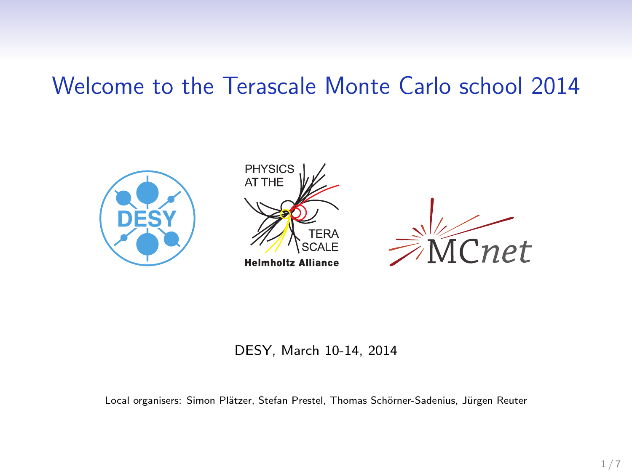# Welcome to the Terascale Monte Carlo school 2014



#### DESY, March 10-14, 2014

Local organisers: Simon Plätzer, Stefan Prestel, Thomas Schörner-Sadenius, Jürgen Reuter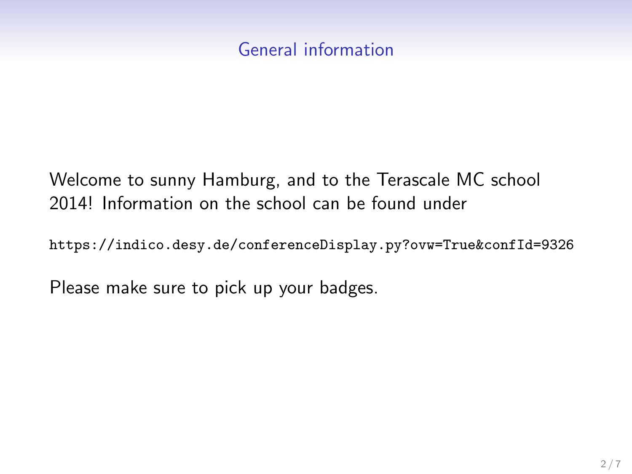### General information

## Welcome to sunny Hamburg, and to the Terascale MC school 2014! Information on the school can be found under

https://indico.desy.de/conferenceDisplay.py?ovw=True&confId=9326

Please make sure to pick up your badges.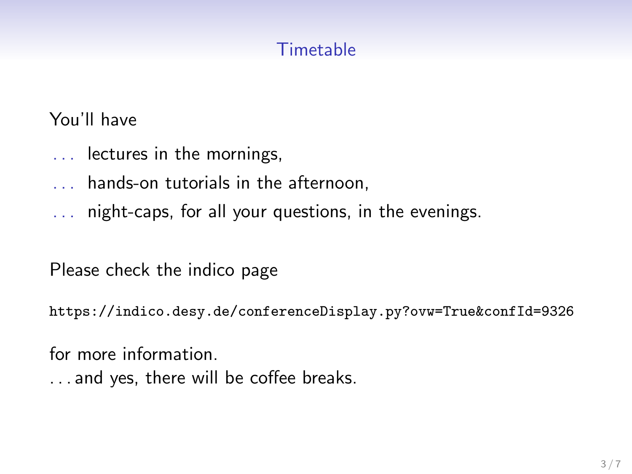## **Timetable**

You'll have

- .. . lectures in the mornings,
- .. . hands-on tutorials in the afternoon,
- .. . night-caps, for all your questions, in the evenings.

Please check the indico page

https://indico.desy.de/conferenceDisplay.py?ovw=True&confId=9326

for more information.

.. . and yes, there will be coffee breaks.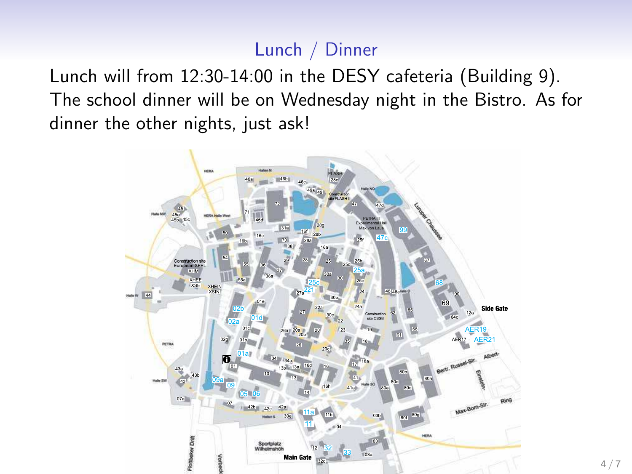## Lunch / Dinner

Lunch will from 12:30-14:00 in the DESY cafeteria (Building 9). The school dinner will be on Wednesday night in the Bistro. As for dinner the other nights, just ask!

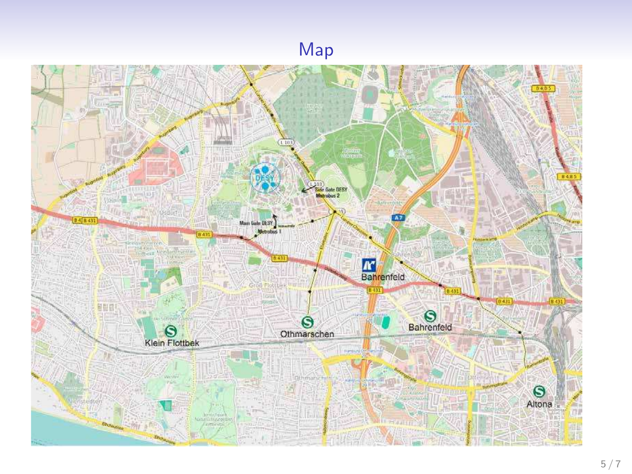#### Map

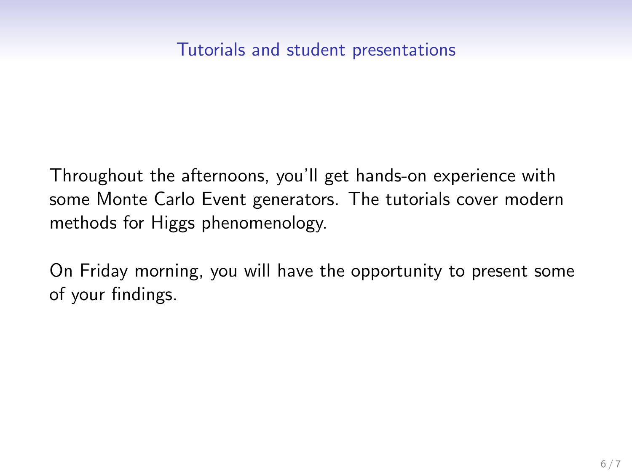#### Tutorials and student presentations

Throughout the afternoons, you'll get hands-on experience with some Monte Carlo Event generators. The tutorials cover modern methods for Higgs phenomenology.

On Friday morning, you will have the opportunity to present some of your findings.